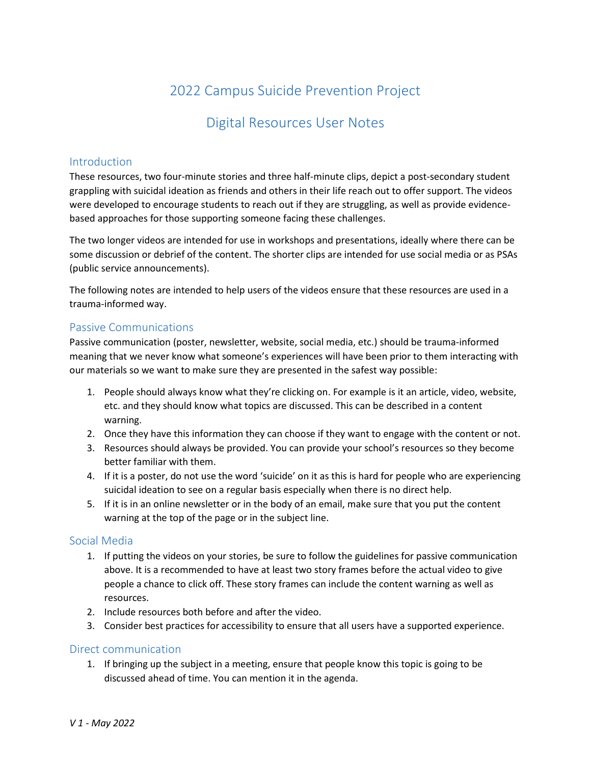# 2022 Campus Suicide Prevention Project

## Digital Resources User Notes

## **Introduction**

These resources, two four-minute stories and three half-minute clips, depict a post-secondary student grappling with suicidal ideation as friends and others in their life reach out to offer support. The videos were developed to encourage students to reach out if they are struggling, as well as provide evidencebased approaches for those supporting someone facing these challenges.

The two longer videos are intended for use in workshops and presentations, ideally where there can be some discussion or debrief of the content. The shorter clips are intended for use social media or as PSAs (public service announcements).

The following notes are intended to help users of the videos ensure that these resources are used in a trauma-informed way.

## Passive Communications

Passive communication (poster, newsletter, website, social media, etc.) should be trauma-informed meaning that we never know what someone's experiences will have been prior to them interacting with our materials so we want to make sure they are presented in the safest way possible:

- 1. People should always know what they're clicking on. For example is it an article, video, website, etc. and they should know what topics are discussed. This can be described in a content warning.
- 2. Once they have this information they can choose if they want to engage with the content or not.
- 3. Resources should always be provided. You can provide your school's resources so they become better familiar with them.
- 4. If it is a poster, do not use the word 'suicide' on it as this is hard for people who are experiencing suicidal ideation to see on a regular basis especially when there is no direct help.
- 5. If it is in an online newsletter or in the body of an email, make sure that you put the content warning at the top of the page or in the subject line.

#### Social Media

- 1. If putting the videos on your stories, be sure to follow the guidelines for passive communication above. It is a recommended to have at least two story frames before the actual video to give people a chance to click off. These story frames can include the content warning as well as resources.
- 2. Include resources both before and after the video.
- 3. Consider best practices for accessibility to ensure that all users have a supported experience.

#### Direct communication

1. If bringing up the subject in a meeting, ensure that people know this topic is going to be discussed ahead of time. You can mention it in the agenda.